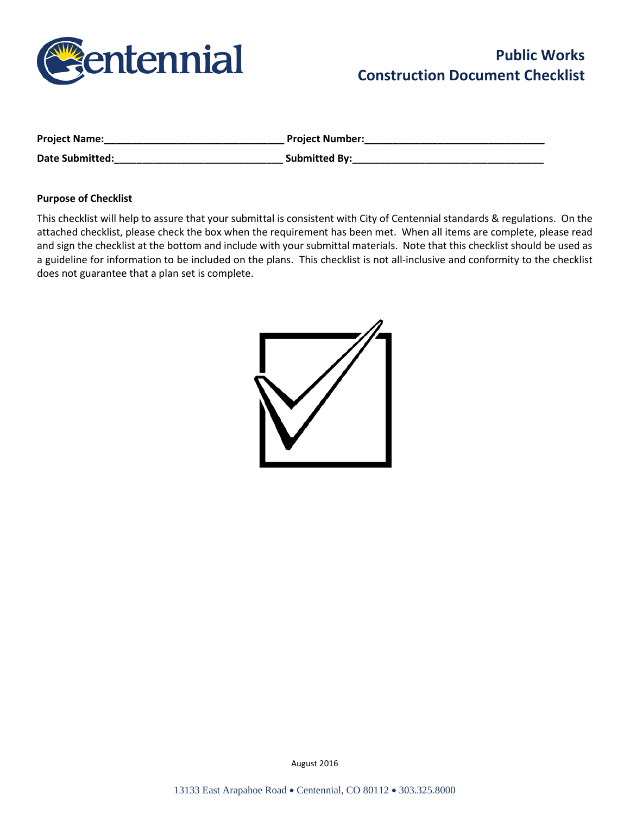

| <b>Project Name:</b>   | <b>Project Number:</b> |
|------------------------|------------------------|
| <b>Date Submitted:</b> | <b>Submitted By:</b>   |

#### **Purpose of Checklist**

This checklist will help to assure that your submittal is consistent with City of Centennial standards & regulations. On the attached checklist, please check the box when the requirement has been met. When all items are complete, please read and sign the checklist at the bottom and include with your submittal materials. Note that this checklist should be used as a guideline for information to be included on the plans. This checklist is not all-inclusive and conformity to the checklist does not guarantee that a plan set is complete.

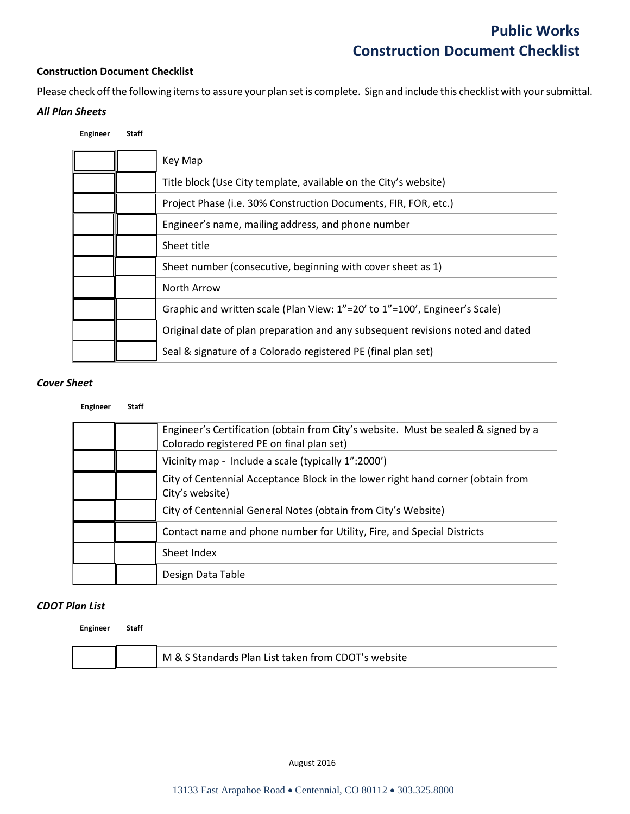#### **Construction Document Checklist**

Please check off the following items to assure your plan set is complete. Sign and include this checklist with your submittal. *All Plan Sheets*

## **Engineer Staff**

| Key Map                                                                        |
|--------------------------------------------------------------------------------|
| Title block (Use City template, available on the City's website)               |
| Project Phase (i.e. 30% Construction Documents, FIR, FOR, etc.)                |
| Engineer's name, mailing address, and phone number                             |
| Sheet title                                                                    |
| Sheet number (consecutive, beginning with cover sheet as 1)                    |
| North Arrow                                                                    |
| Graphic and written scale (Plan View: 1"=20' to 1"=100', Engineer's Scale)     |
| Original date of plan preparation and any subsequent revisions noted and dated |
| Seal & signature of a Colorado registered PE (final plan set)                  |

#### *Cover Sheet*

#### **Engineer Staff**

|  | Engineer's Certification (obtain from City's website. Must be sealed & signed by a<br>Colorado registered PE on final plan set) |
|--|---------------------------------------------------------------------------------------------------------------------------------|
|  | Vicinity map - Include a scale (typically 1":2000')                                                                             |
|  | City of Centennial Acceptance Block in the lower right hand corner (obtain from<br>City's website)                              |
|  | City of Centennial General Notes (obtain from City's Website)                                                                   |
|  | Contact name and phone number for Utility, Fire, and Special Districts                                                          |
|  | Sheet Index                                                                                                                     |
|  | Design Data Table                                                                                                               |

#### *CDOT Plan List*

**Engineer Staff**

|  | M<br>l ist taken trom C<br>: Plan I<br>∣ እር<br>×<br>nsite<br>$M\Omega$ |
|--|------------------------------------------------------------------------|
|--|------------------------------------------------------------------------|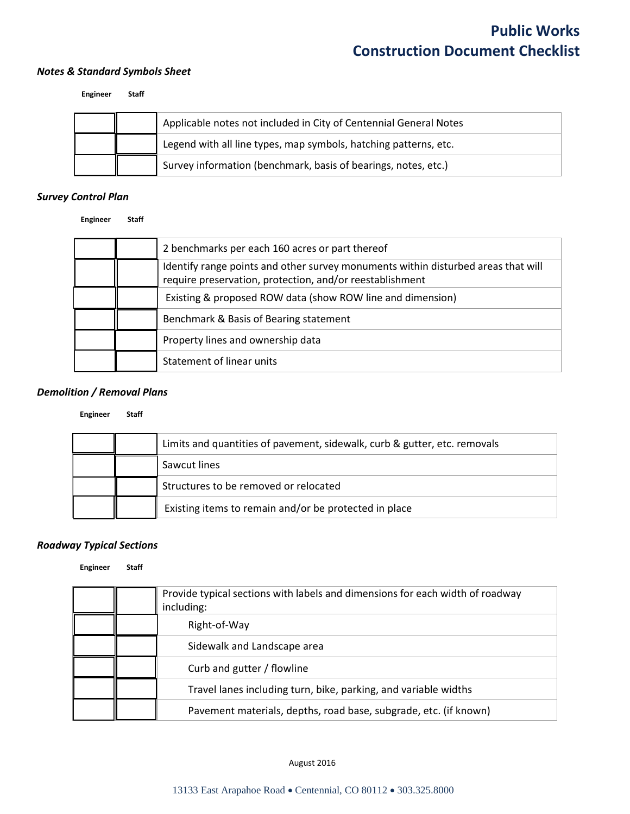#### *Notes & Standard Symbols Sheet*

#### **Engineer Staff**

|  | Applicable notes not included in City of Centennial General Notes |
|--|-------------------------------------------------------------------|
|  | Legend with all line types, map symbols, hatching patterns, etc.  |
|  | Survey information (benchmark, basis of bearings, notes, etc.)    |

## *Survey Control Plan*

**Engineer Staff**

|  | 2 benchmarks per each 160 acres or part thereof                                                                                               |
|--|-----------------------------------------------------------------------------------------------------------------------------------------------|
|  | Identify range points and other survey monuments within disturbed areas that will<br>require preservation, protection, and/or reestablishment |
|  | Existing & proposed ROW data (show ROW line and dimension)                                                                                    |
|  | Benchmark & Basis of Bearing statement                                                                                                        |
|  | Property lines and ownership data                                                                                                             |
|  | Statement of linear units                                                                                                                     |

### *Demolition / Removal Plans*

#### **Engineer Staff**

|  | Limits and quantities of pavement, sidewalk, curb & gutter, etc. removals |
|--|---------------------------------------------------------------------------|
|  | Sawcut lines                                                              |
|  | Structures to be removed or relocated                                     |
|  | Existing items to remain and/or be protected in place                     |

#### *Roadway Typical Sections*

#### **Engineer Staff**

|  | Provide typical sections with labels and dimensions for each width of roadway<br>including: |
|--|---------------------------------------------------------------------------------------------|
|  | Right-of-Way                                                                                |
|  | Sidewalk and Landscape area                                                                 |
|  | Curb and gutter / flowline                                                                  |
|  | Travel lanes including turn, bike, parking, and variable widths                             |
|  | Pavement materials, depths, road base, subgrade, etc. (if known)                            |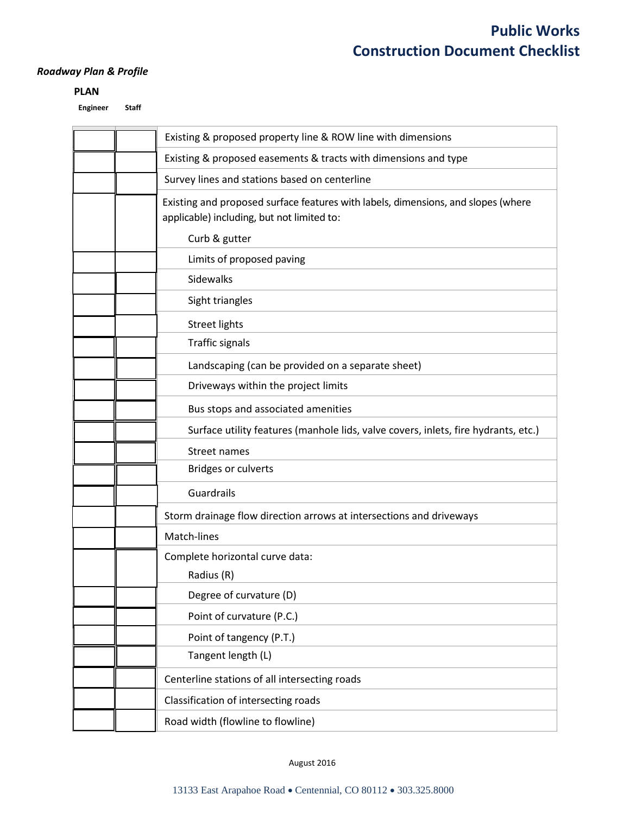## *Roadway Plan & Profile*

### **PLAN**

**Engineer Staff**

| Existing & proposed property line & ROW line with dimensions                                                                    |
|---------------------------------------------------------------------------------------------------------------------------------|
| Existing & proposed easements & tracts with dimensions and type                                                                 |
| Survey lines and stations based on centerline                                                                                   |
| Existing and proposed surface features with labels, dimensions, and slopes (where<br>applicable) including, but not limited to: |
| Curb & gutter                                                                                                                   |
| Limits of proposed paving                                                                                                       |
| Sidewalks                                                                                                                       |
| Sight triangles                                                                                                                 |
| <b>Street lights</b>                                                                                                            |
| <b>Traffic signals</b>                                                                                                          |
| Landscaping (can be provided on a separate sheet)                                                                               |
| Driveways within the project limits                                                                                             |
| Bus stops and associated amenities                                                                                              |
| Surface utility features (manhole lids, valve covers, inlets, fire hydrants, etc.)                                              |
| Street names                                                                                                                    |
| <b>Bridges or culverts</b>                                                                                                      |
| Guardrails                                                                                                                      |
| Storm drainage flow direction arrows at intersections and driveways                                                             |
| Match-lines                                                                                                                     |
| Complete horizontal curve data:                                                                                                 |
| Radius (R)                                                                                                                      |
| Degree of curvature (D)                                                                                                         |
| Point of curvature (P.C.)                                                                                                       |
| Point of tangency (P.T.)                                                                                                        |
| Tangent length (L)                                                                                                              |
| Centerline stations of all intersecting roads                                                                                   |
| Classification of intersecting roads                                                                                            |
| Road width (flowline to flowline)                                                                                               |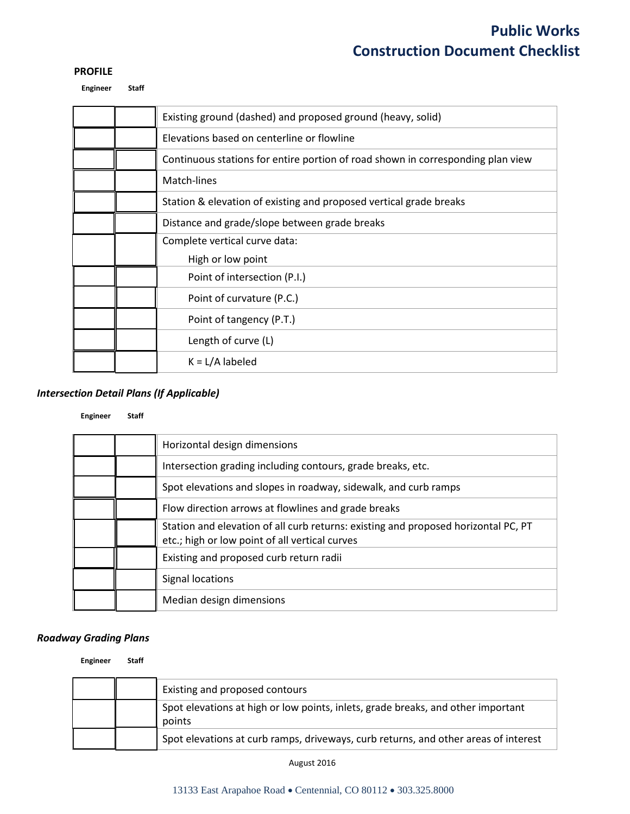#### **PROFILE**

**Engineer Staff**

|  | Existing ground (dashed) and proposed ground (heavy, solid)                     |
|--|---------------------------------------------------------------------------------|
|  | Elevations based on centerline or flowline                                      |
|  | Continuous stations for entire portion of road shown in corresponding plan view |
|  | Match-lines                                                                     |
|  | Station & elevation of existing and proposed vertical grade breaks              |
|  | Distance and grade/slope between grade breaks                                   |
|  | Complete vertical curve data:                                                   |
|  | High or low point                                                               |
|  | Point of intersection (P.I.)                                                    |
|  | Point of curvature (P.C.)                                                       |
|  | Point of tangency (P.T.)                                                        |
|  | Length of curve (L)                                                             |
|  | $K = L/A$ labeled                                                               |
|  |                                                                                 |

## *Intersection Detail Plans (If Applicable)*

#### **Engineer Staff**

|  | Horizontal design dimensions                                                                                                         |
|--|--------------------------------------------------------------------------------------------------------------------------------------|
|  | Intersection grading including contours, grade breaks, etc.                                                                          |
|  | Spot elevations and slopes in roadway, sidewalk, and curb ramps                                                                      |
|  | Flow direction arrows at flowlines and grade breaks                                                                                  |
|  | Station and elevation of all curb returns: existing and proposed horizontal PC, PT<br>etc.; high or low point of all vertical curves |
|  | Existing and proposed curb return radii                                                                                              |
|  | Signal locations                                                                                                                     |
|  | Median design dimensions                                                                                                             |
|  |                                                                                                                                      |

#### *Roadway Grading Plans*

**Engineer Staff**

|  | Existing and proposed contours                                                             |
|--|--------------------------------------------------------------------------------------------|
|  | Spot elevations at high or low points, inlets, grade breaks, and other important<br>points |
|  | Spot elevations at curb ramps, driveways, curb returns, and other areas of interest        |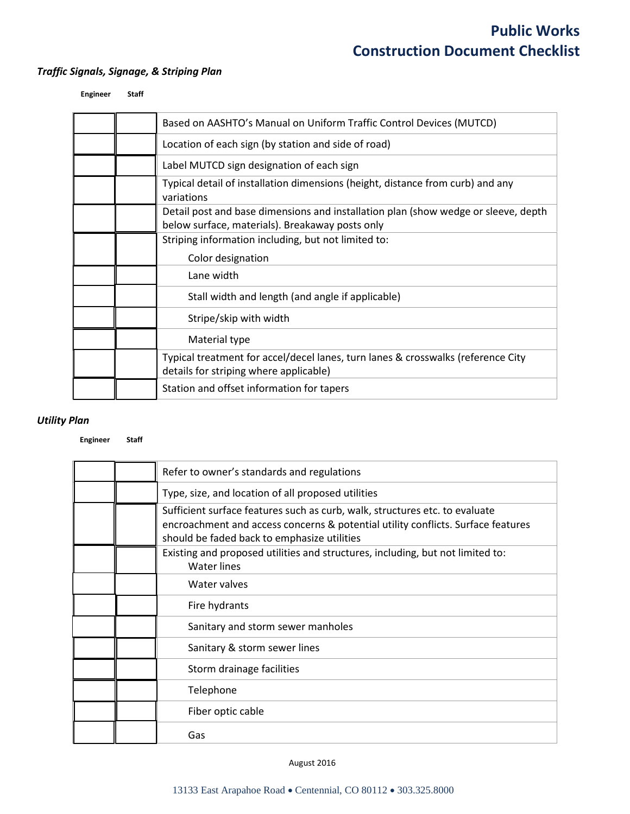## *Traffic Signals, Signage, & Striping Plan*

| Engineer | <b>Staff</b> |
|----------|--------------|
|          |              |

|  | Based on AASHTO's Manual on Uniform Traffic Control Devices (MUTCD)                                                                   |
|--|---------------------------------------------------------------------------------------------------------------------------------------|
|  | Location of each sign (by station and side of road)                                                                                   |
|  | Label MUTCD sign designation of each sign                                                                                             |
|  | Typical detail of installation dimensions (height, distance from curb) and any<br>variations                                          |
|  | Detail post and base dimensions and installation plan (show wedge or sleeve, depth<br>below surface, materials). Breakaway posts only |
|  | Striping information including, but not limited to:<br>Color designation                                                              |
|  | Lane width                                                                                                                            |
|  | Stall width and length (and angle if applicable)                                                                                      |
|  | Stripe/skip with width                                                                                                                |
|  | Material type                                                                                                                         |
|  | Typical treatment for accel/decel lanes, turn lanes & crosswalks (reference City<br>details for striping where applicable)            |
|  | Station and offset information for tapers                                                                                             |

## *Utility Plan*

#### **Engineer Staff**

|  | Refer to owner's standards and regulations                                                                                                                                                                     |
|--|----------------------------------------------------------------------------------------------------------------------------------------------------------------------------------------------------------------|
|  | Type, size, and location of all proposed utilities                                                                                                                                                             |
|  | Sufficient surface features such as curb, walk, structures etc. to evaluate<br>encroachment and access concerns & potential utility conflicts. Surface features<br>should be faded back to emphasize utilities |
|  | Existing and proposed utilities and structures, including, but not limited to:<br>Water lines                                                                                                                  |
|  | Water valves                                                                                                                                                                                                   |
|  | Fire hydrants                                                                                                                                                                                                  |
|  | Sanitary and storm sewer manholes                                                                                                                                                                              |
|  | Sanitary & storm sewer lines                                                                                                                                                                                   |
|  | Storm drainage facilities                                                                                                                                                                                      |
|  | Telephone                                                                                                                                                                                                      |
|  | Fiber optic cable                                                                                                                                                                                              |
|  | Gas                                                                                                                                                                                                            |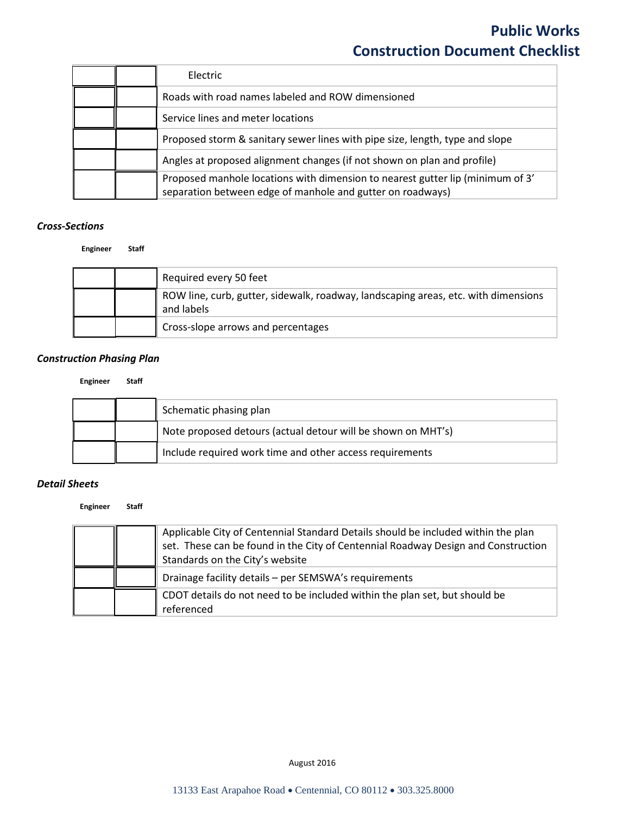|  | Electric                                                                                                                                     |
|--|----------------------------------------------------------------------------------------------------------------------------------------------|
|  | Roads with road names labeled and ROW dimensioned                                                                                            |
|  | Service lines and meter locations                                                                                                            |
|  | Proposed storm & sanitary sewer lines with pipe size, length, type and slope                                                                 |
|  | Angles at proposed alignment changes (if not shown on plan and profile)                                                                      |
|  | Proposed manhole locations with dimension to nearest gutter lip (minimum of 3'<br>separation between edge of manhole and gutter on roadways) |

### *Cross-Sections*

**Engineer Staff**

|  | Required every 50 feet                                                                           |
|--|--------------------------------------------------------------------------------------------------|
|  | ROW line, curb, gutter, sidewalk, roadway, landscaping areas, etc. with dimensions<br>and labels |
|  | Cross-slope arrows and percentages                                                               |

## *Construction Phasing Plan*

#### **Engineer Staff**

|  | Schematic phasing plan                                       |
|--|--------------------------------------------------------------|
|  | Note proposed detours (actual detour will be shown on MHT's) |
|  | Include required work time and other access requirements     |

#### *Detail Sheets*

**Engineer Staff**

|  | Applicable City of Centennial Standard Details should be included within the plan<br>set. These can be found in the City of Centennial Roadway Design and Construction<br>Standards on the City's website |
|--|-----------------------------------------------------------------------------------------------------------------------------------------------------------------------------------------------------------|
|  | Drainage facility details - per SEMSWA's requirements                                                                                                                                                     |
|  | CDOT details do not need to be included within the plan set, but should be<br>referenced                                                                                                                  |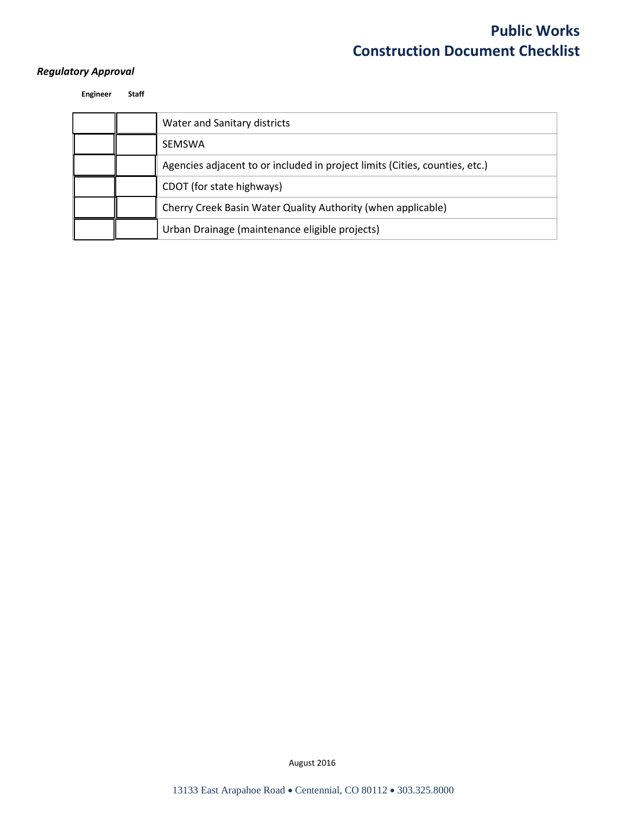## *Regulatory Approval*

**Engineer Staff**

|  | Water and Sanitary districts                                                |
|--|-----------------------------------------------------------------------------|
|  | <b>SEMSWA</b>                                                               |
|  | Agencies adjacent to or included in project limits (Cities, counties, etc.) |
|  | CDOT (for state highways)                                                   |
|  | Cherry Creek Basin Water Quality Authority (when applicable)                |
|  | Urban Drainage (maintenance eligible projects)                              |